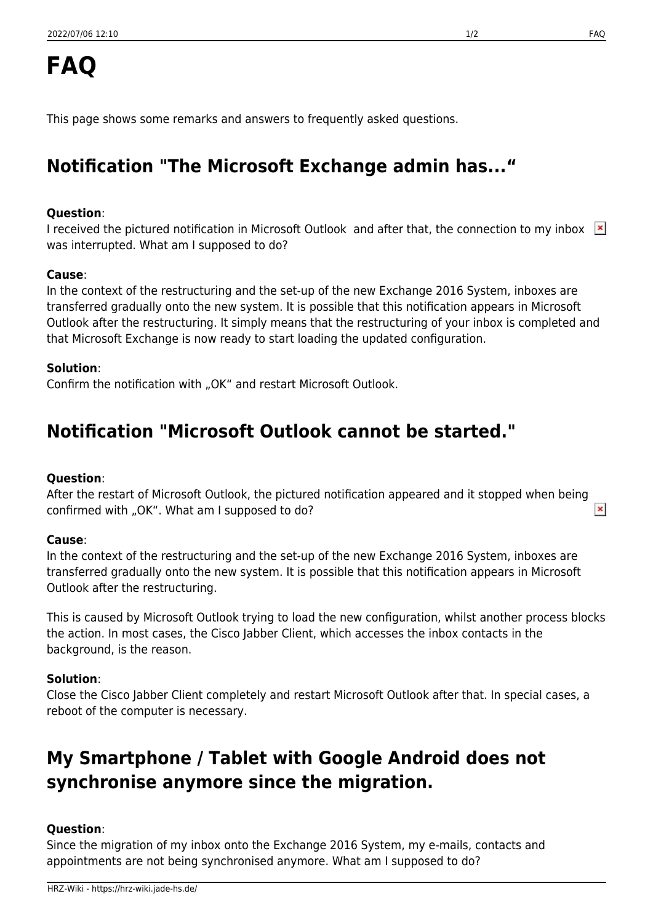This page shows some remarks and answers to frequently asked questions.

# **Notification "The Microsoft Exchange admin has..."**

### **Question**:

I received the pictured notification in Microsoft Outlook and after that, the connection to my inbox  $\mathbb{X}$ was interrupted. What am I supposed to do?

### **Cause**:

In the context of the restructuring and the set-up of the new Exchange 2016 System, inboxes are transferred gradually onto the new system. It is possible that this notification appears in Microsoft Outlook after the restructuring. It simply means that the restructuring of your inbox is completed and that Microsoft Exchange is now ready to start loading the updated configuration.

### **Solution**:

Confirm the notification with "OK" and restart Microsoft Outlook.

## **Notification "Microsoft Outlook cannot be started."**

### **Question**:

After the restart of Microsoft Outlook, the pictured notification appeared and it stopped when being  $\pmb{\times}$ confirmed with "OK". What am I supposed to do?

### **Cause**:

In the context of the restructuring and the set-up of the new Exchange 2016 System, inboxes are transferred gradually onto the new system. It is possible that this notification appears in Microsoft Outlook after the restructuring.

This is caused by Microsoft Outlook trying to load the new configuration, whilst another process blocks the action. In most cases, the Cisco Jabber Client, which accesses the inbox contacts in the background, is the reason.

### **Solution**:

Close the Cisco Jabber Client completely and restart Microsoft Outlook after that. In special cases, a reboot of the computer is necessary.

## **My Smartphone / Tablet with Google Android does not synchronise anymore since the migration.**

### **Question**:

Since the migration of my inbox onto the Exchange 2016 System, my e-mails, contacts and appointments are not being synchronised anymore. What am I supposed to do?